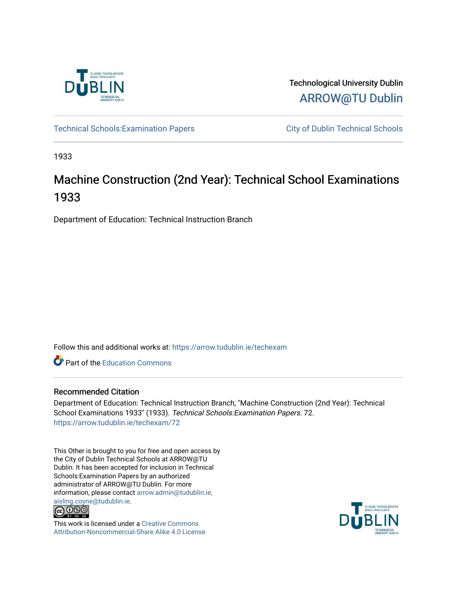

Technological University Dublin [ARROW@TU Dublin](https://arrow.tudublin.ie/) 

Technical Schools: Examination Papers City of Dublin Technical Schools

1933

# Machine Construction (2nd Year): Technical School Examinations 1933

Department of Education: Technical Instruction Branch

Follow this and additional works at: [https://arrow.tudublin.ie/techexam](https://arrow.tudublin.ie/techexam?utm_source=arrow.tudublin.ie%2Ftechexam%2F72&utm_medium=PDF&utm_campaign=PDFCoverPages) 

Part of the [Education Commons](http://network.bepress.com/hgg/discipline/784?utm_source=arrow.tudublin.ie%2Ftechexam%2F72&utm_medium=PDF&utm_campaign=PDFCoverPages)

## Recommended Citation

Department of Education: Technical Instruction Branch, "Machine Construction (2nd Year): Technical School Examinations 1933" (1933). Technical Schools:Examination Papers. 72. [https://arrow.tudublin.ie/techexam/72](https://arrow.tudublin.ie/techexam/72?utm_source=arrow.tudublin.ie%2Ftechexam%2F72&utm_medium=PDF&utm_campaign=PDFCoverPages)

This Other is brought to you for free and open access by the City of Dublin Technical Schools at ARROW@TU Dublin. It has been accepted for inclusion in Technical Schools:Examination Papers by an authorized administrator of ARROW@TU Dublin. For more information, please contact [arrow.admin@tudublin.ie,](mailto:arrow.admin@tudublin.ie,%20aisling.coyne@tudublin.ie)  [aisling.coyne@tudublin.ie.](mailto:arrow.admin@tudublin.ie,%20aisling.coyne@tudublin.ie)<br>© 090



This work is licensed under a [Creative Commons](http://creativecommons.org/licenses/by-nc-sa/4.0/) [Attribution-Noncommercial-Share Alike 4.0 License](http://creativecommons.org/licenses/by-nc-sa/4.0/)

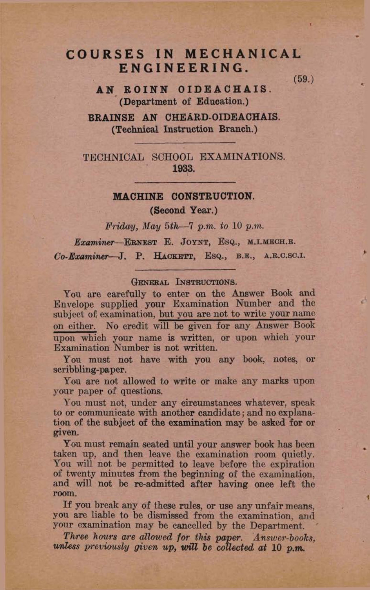# COURSES IN MECHANICAL **ENGINEERING.**

 $(59.)$ 

AN ROINN OIDEACHAIS. (Department of Education.)

BRAINSE AN CHEARD-OIDEACHAIS. (Technical Instruction Branch.)

TECHNICAL SCHOOL EXAMINATIONS. 1933.

### **MACHINE CONSTRUCTION.**

(Second Year.)

 $Fridau$ , May 5th-7 p.m. to 10 p.m.

Examiner-ERNEST E. JOYNT, ESQ., M.I.MECH.E. Co-Examiner-J. P. HACKETT, ESQ., B.E., A.R.C.SC.I.

### GENERAL INSTRUCTIONS.

You are carefully to enter on the Answer Book and Envelope supplied your Examination Number and the subject of examination, but you are not to write your name on either. No credit will be given for any Answer Book upon which your name is written, or upon which your Examination Number is not written.

You must not have with you any book, notes, or scribbling-paper.

You are not allowed to write or make any marks upon your paper of questions.

You must not, under any circumstances whatever, speak to or communicate with another candidate; and no explanation of the subject of the examination may be asked for or given.

You must remain seated until your answer book has been taken up, and then leave the examination room quietly. You will not be permitted to leave before the expiration of twenty minutes from the beginning of the examination, and will not be re-admitted after having once left the room.

If you break any of these rules, or use any unfair means, you are liable to be dismissed from the examination, and your examination may be cancelled by the Department.

Three hours are allowed for this paper. Answer-books, unless previously given up, will be collected at 10 p.m.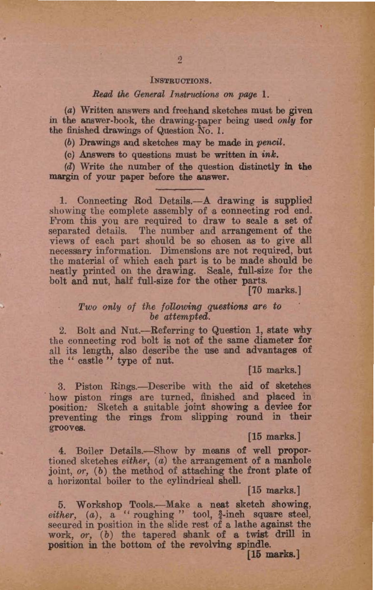#### INSTRUCTIONS.

#### Read the General Instructions on page 1.

(a) Written answers and freehand sketches must be given in the answer-book, the drawing-paper being used only for the finished drawings of Question No. 1.

(b) Drawings and sketches may be made in pencil.

 $(c)$  Answers to questions must be written in  $ink$ .

(d) Write the number of the question distinctly in the margin of your paper before the answer.

1. Connecting Rod Details.-A drawing is supplied showing the complete assembly of a connecting rod end. From this you are required to draw to scale a set of separated details. The number and arrangement of the views of each part should be so chosen as to give all necessary information. Dimensions are not required, but the material of which each part is to be made should be neatly printed on the drawing. Scale, full-size for the bolt and nut, half full-size for the other parts.

 $[70$  marks.]

### Two only of the following questions are to be attempted.

2. Bolt and Nut.--Referring to Question 1, state why the connecting rod bolt is not of the same diameter for all its length, also describe the use and advantages of the "castle" type of nut.

[15 marks.]

3. Piston Rings.—Describe with the aid of sketches how piston rings are turned, finished and placed in position. Sketch a suitable joint showing a device for preventing the rings from slipping round in their grooves.

#### $15$  marks.

4. Boiler Details.—Show by means of well proportioned sketches either,  $(a)$  the arrangement of a manhole joint, or, (b) the method of attaching the front plate of a horizontal boiler to the cylindrical shell.

#### $[15$  marks.]

5. Workshop Tools.--- Make a neat sketch showing, either, (a), a "roughing" tool, 4-inch square steel, secured in position in the slide rest of a lathe against the work, or, (b) the tapered shank of a twist drill in position in the bottom of the revolving spindle.

 $[15$  marks.]